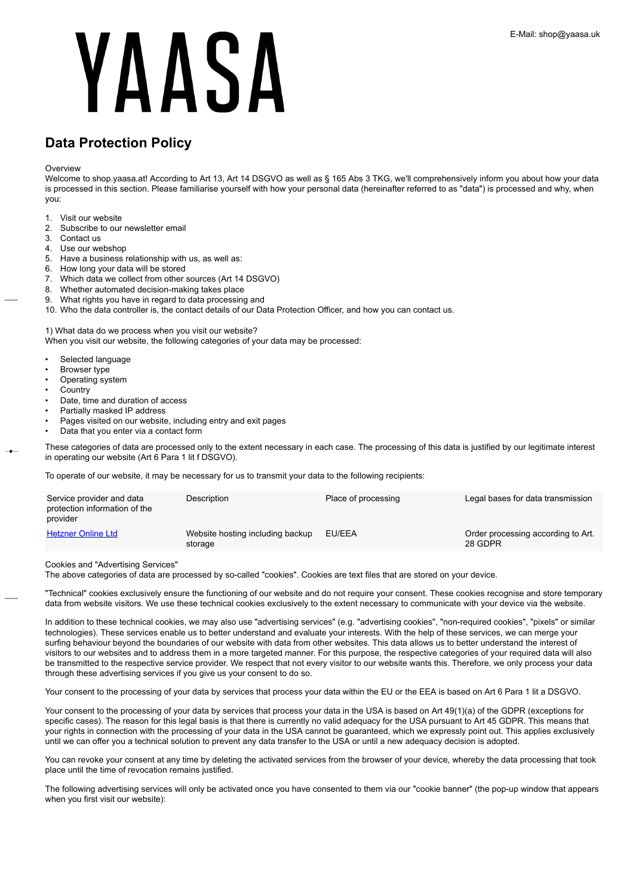# **Data Protection Policy**

**Overview** 

Welcome to shop.yaasa.at! According to Art 13, Art 14 DSGVO as well as § 165 Abs 3 TKG, we'll comprehensively inform you about how your data is processed in this section. Please familiarise yourself with how your personal data (hereinafter referred to as "data") is processed and why, when you:

- 1. Visit our website
- 2. Subscribe to our newsletter email
- 3. Contact us
- 4. Use our webshop
- 5. Have a business relationship with us, as well as:
- 6. How long your data will be stored
- 7. Which data we collect from other sources (Art 14 DSGVO)
- 8. Whether automated decision-making takes place
- 9. What rights you have in regard to data processing and
- 10. Who the data controller is, the contact details of our Data Protection Officer, and how you can contact us.

1) What data do we process when you visit our website?

When you visit our website, the following categories of your data may be processed:

- Selected language
- Browser type
- Operating system
- **Country**
- Date, time and duration of access
- Partially masked IP address
- Pages visited on our website, including entry and exit pages
- Data that you enter via a contact form

These categories of data are processed only to the extent necessary in each case. The processing of this data is justified by our legitimate interest in operating our website (Art 6 Para 1 lit f DSGVO).

To operate of our website, it may be necessary for us to transmit your data to the following recipients:

| Service provider and data<br>protection information of the<br>provider | Description                                 | Place of processing | Legal bases for data transmission             |
|------------------------------------------------------------------------|---------------------------------------------|---------------------|-----------------------------------------------|
| <b>Hetzner Online Ltd</b>                                              | Website hosting including backup<br>storage | EU/EEA              | Order processing according to Art.<br>28 GDPR |

Cookies and "Advertising Services"

The above categories of data are processed by so-called "cookies". Cookies are text files that are stored on your device.

"Technical" cookies exclusively ensure the functioning of our website and do not require your consent. These cookies recognise and store temporary data from website visitors. We use these technical cookies exclusively to the extent necessary to communicate with your device via the website.

In addition to these technical cookies, we may also use "advertising services" (e.g. "advertising cookies", "non-required cookies", "pixels" or similar technologies). These services enable us to better understand and evaluate your interests. With the help of these services, we can merge your surfing behaviour beyond the boundaries of our website with data from other websites. This data allows us to better understand the interest of visitors to our websites and to address them in a more targeted manner. For this purpose, the respective categories of your required data will also be transmitted to the respective service provider. We respect that not every visitor to our website wants this. Therefore, we only process your data through these advertising services if you give us your consent to do so.

Your consent to the processing of your data by services that process your data within the EU or the EEA is based on Art 6 Para 1 lit a DSGVO.

Your consent to the processing of your data by services that process your data in the USA is based on Art 49(1)(a) of the GDPR (exceptions for specific cases). The reason for this legal basis is that there is currently no valid adequacy for the USA pursuant to Art 45 GDPR. This means that your rights in connection with the processing of your data in the USA cannot be guaranteed, which we expressly point out. This applies exclusively until we can offer you a technical solution to prevent any data transfer to the USA or until a new adequacy decision is adopted.

You can revoke your consent at any time by deleting the activated services from the browser of your device, whereby the data processing that took place until the time of revocation remains justified.

The following advertising services will only be activated once you have consented to them via our "cookie banner" (the pop-up window that appears when you first visit our website):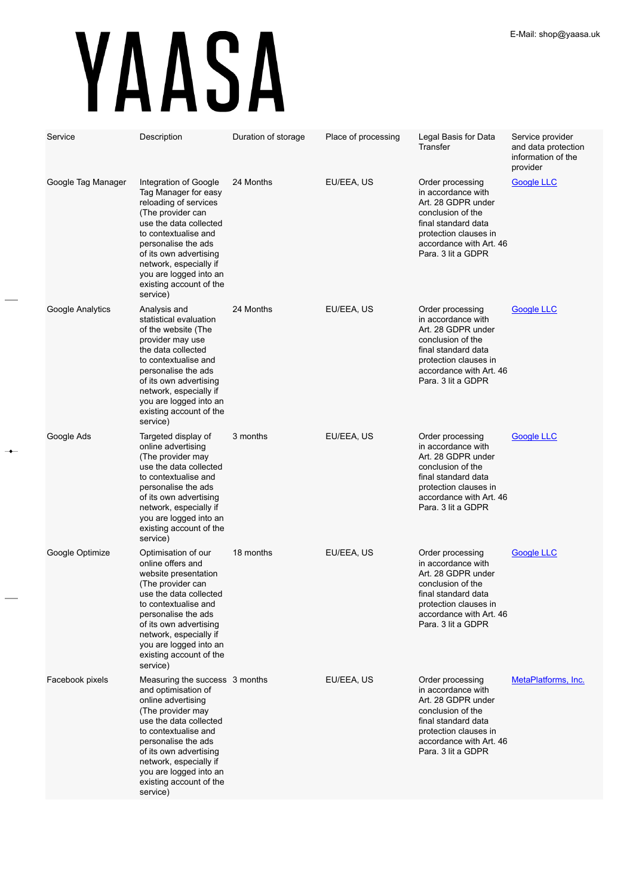| Service            | Description                                                                                                                                                                                                                                                                                    | Duration of storage | Place of processing | Legal Basis for Data<br>Transfer                                                                                                                                                   | Service provider<br>and data protection<br>information of the<br>provider |
|--------------------|------------------------------------------------------------------------------------------------------------------------------------------------------------------------------------------------------------------------------------------------------------------------------------------------|---------------------|---------------------|------------------------------------------------------------------------------------------------------------------------------------------------------------------------------------|---------------------------------------------------------------------------|
| Google Tag Manager | Integration of Google<br>Tag Manager for easy<br>reloading of services<br>(The provider can<br>use the data collected<br>to contextualise and<br>personalise the ads<br>of its own advertising<br>network, especially if<br>you are logged into an<br>existing account of the<br>service)      | 24 Months           | EU/EEA, US          | Order processing<br>in accordance with<br>Art. 28 GDPR under<br>conclusion of the<br>final standard data<br>protection clauses in<br>accordance with Art. 46<br>Para. 3 lit a GDPR | <b>Google LLC</b>                                                         |
| Google Analytics   | Analysis and<br>statistical evaluation<br>of the website (The<br>provider may use<br>the data collected<br>to contextualise and<br>personalise the ads<br>of its own advertising<br>network, especially if<br>you are logged into an<br>existing account of the<br>service)                    | 24 Months           | EU/EEA, US          | Order processing<br>in accordance with<br>Art. 28 GDPR under<br>conclusion of the<br>final standard data<br>protection clauses in<br>accordance with Art. 46<br>Para, 3 lit a GDPR | <b>Google LLC</b>                                                         |
| Google Ads         | Targeted display of<br>online advertising<br>(The provider may<br>use the data collected<br>to contextualise and<br>personalise the ads<br>of its own advertising<br>network, especially if<br>you are logged into an<br>existing account of the<br>service)                                   | 3 months            | EU/EEA, US          | Order processing<br>in accordance with<br>Art. 28 GDPR under<br>conclusion of the<br>final standard data<br>protection clauses in<br>accordance with Art. 46<br>Para. 3 lit a GDPR | <b>Google LLC</b>                                                         |
| Google Optimize    | Optimisation of our<br>online offers and<br>website presentation<br>(The provider can<br>use the data collected<br>to contextualise and<br>personalise the ads<br>of its own advertising<br>network, especially if<br>you are logged into an<br>existing account of the<br>service)            | 18 months           | EU/EEA, US          | Order processing<br>in accordance with<br>Art. 28 GDPR under<br>conclusion of the<br>final standard data<br>protection clauses in<br>accordance with Art. 46<br>Para. 3 lit a GDPR | Google LLC                                                                |
| Facebook pixels    | Measuring the success 3 months<br>and optimisation of<br>online advertising<br>(The provider may<br>use the data collected<br>to contextualise and<br>personalise the ads<br>of its own advertising<br>network, especially if<br>you are logged into an<br>existing account of the<br>service) |                     | EU/EEA, US          | Order processing<br>in accordance with<br>Art. 28 GDPR under<br>conclusion of the<br>final standard data<br>protection clauses in<br>accordance with Art. 46<br>Para. 3 lit a GDPR | MetaPlatforms, Inc.                                                       |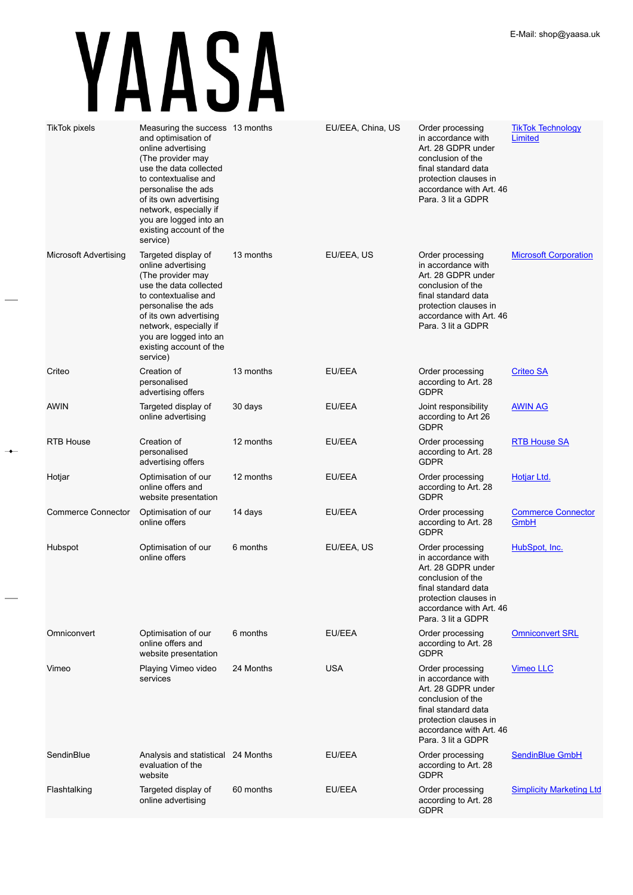$\rightarrow$ 

| <b>TikTok pixels</b>         | Measuring the success 13 months<br>and optimisation of<br>online advertising<br>(The provider may<br>use the data collected<br>to contextualise and<br>personalise the ads<br>of its own advertising<br>network, especially if<br>you are logged into an<br>existing account of the<br>service) |           | EU/EEA, China, US | Order processing<br>in accordance with<br>Art. 28 GDPR under<br>conclusion of the<br>final standard data<br>protection clauses in<br>accordance with Art. 46<br>Para. 3 lit a GDPR | <b>TikTok Technology</b><br>Limited |
|------------------------------|-------------------------------------------------------------------------------------------------------------------------------------------------------------------------------------------------------------------------------------------------------------------------------------------------|-----------|-------------------|------------------------------------------------------------------------------------------------------------------------------------------------------------------------------------|-------------------------------------|
| <b>Microsoft Advertising</b> | Targeted display of<br>online advertising<br>(The provider may<br>use the data collected<br>to contextualise and<br>personalise the ads<br>of its own advertising<br>network, especially if<br>you are logged into an<br>existing account of the<br>service)                                    | 13 months | EU/EEA, US        | Order processing<br>in accordance with<br>Art. 28 GDPR under<br>conclusion of the<br>final standard data<br>protection clauses in<br>accordance with Art. 46<br>Para. 3 lit a GDPR | <b>Microsoft Corporation</b>        |
| Criteo                       | Creation of<br>personalised<br>advertising offers                                                                                                                                                                                                                                               | 13 months | EU/EEA            | Order processing<br>according to Art. 28<br><b>GDPR</b>                                                                                                                            | <b>Criteo SA</b>                    |
| <b>AWIN</b>                  | Targeted display of<br>online advertising                                                                                                                                                                                                                                                       | 30 days   | EU/EEA            | Joint responsibility<br>according to Art 26<br><b>GDPR</b>                                                                                                                         | <b>AWIN AG</b>                      |
| <b>RTB House</b>             | Creation of<br>personalised<br>advertising offers                                                                                                                                                                                                                                               | 12 months | EU/EEA            | Order processing<br>according to Art. 28<br><b>GDPR</b>                                                                                                                            | <b>RTB House SA</b>                 |
| Hotjar                       | Optimisation of our<br>online offers and<br>website presentation                                                                                                                                                                                                                                | 12 months | EU/EEA            | Order processing<br>according to Art. 28<br><b>GDPR</b>                                                                                                                            | Hotjar Ltd.                         |
| <b>Commerce Connector</b>    | Optimisation of our<br>online offers                                                                                                                                                                                                                                                            | 14 days   | EU/EEA            | Order processing<br>according to Art. 28<br><b>GDPR</b>                                                                                                                            | <b>Commerce Connector</b><br>GmbH   |
| Hubspot                      | Optimisation of our<br>online offers                                                                                                                                                                                                                                                            | 6 months  | EU/EEA, US        | Order processing<br>in accordance with<br>Art. 28 GDPR under<br>conclusion of the<br>final standard data<br>protection clauses in<br>accordance with Art. 46<br>Para, 3 lit a GDPR | HubSpot, Inc.                       |
| Omniconvert                  | Optimisation of our<br>online offers and<br>website presentation                                                                                                                                                                                                                                | 6 months  | EU/EEA            | Order processing<br>according to Art. 28<br><b>GDPR</b>                                                                                                                            | <b>Omniconvert SRL</b>              |
| Vimeo                        | Playing Vimeo video<br>services                                                                                                                                                                                                                                                                 | 24 Months | <b>USA</b>        | Order processing<br>in accordance with<br>Art. 28 GDPR under<br>conclusion of the<br>final standard data<br>protection clauses in<br>accordance with Art. 46<br>Para. 3 lit a GDPR | <b>Vimeo LLC</b>                    |
| SendinBlue                   | Analysis and statistical 24 Months<br>evaluation of the<br>website                                                                                                                                                                                                                              |           | EU/EEA            | Order processing<br>according to Art. 28<br><b>GDPR</b>                                                                                                                            | <b>SendinBlue GmbH</b>              |
| Flashtalking                 | Targeted display of<br>online advertising                                                                                                                                                                                                                                                       | 60 months | EU/EEA            | Order processing<br>according to Art. 28<br><b>GDPR</b>                                                                                                                            | <b>Simplicity Marketing Ltd</b>     |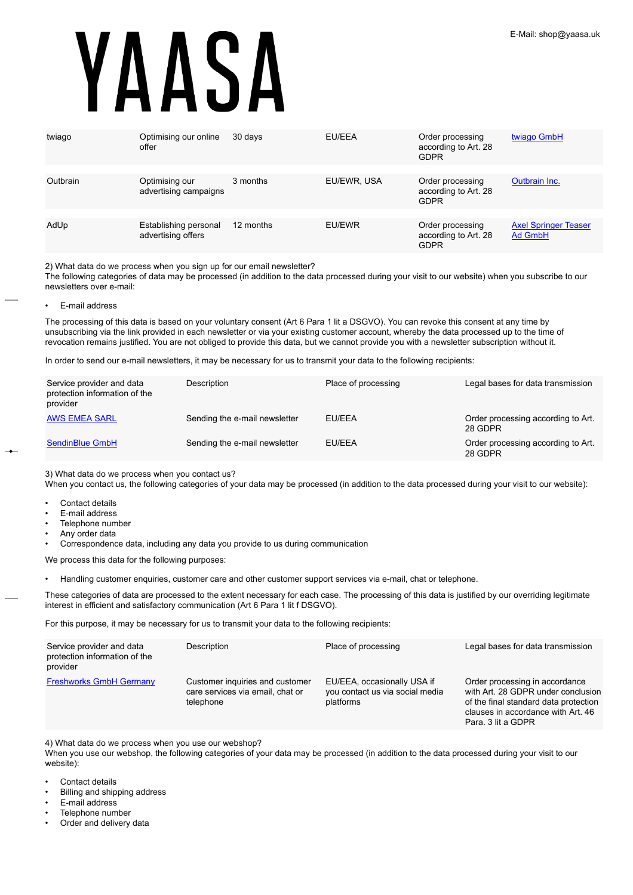| twiago   | Optimising our online<br>offer              | 30 days   | EU/EEA      | Order processing<br>according to Art. 28<br><b>GDPR</b> | twiago GmbH                            |
|----------|---------------------------------------------|-----------|-------------|---------------------------------------------------------|----------------------------------------|
|          |                                             |           |             |                                                         |                                        |
| Outbrain | Optimising our<br>advertising campaigns     | 3 months  | EU/EWR, USA | Order processing<br>according to Art. 28<br><b>GDPR</b> | Outbrain Inc.                          |
|          |                                             |           |             |                                                         |                                        |
| AdUp     | Establishing personal<br>advertising offers | 12 months | EU/EWR      | Order processing<br>according to Art. 28<br><b>GDPR</b> | <b>Axel Springer Teaser</b><br>Ad GmbH |

2) What data do we process when you sign up for our email newsletter?

The following categories of data may be processed (in addition to the data processed during your visit to our website) when you subscribe to our newsletters over e-mail:

• E-mail address

The processing of this data is based on your voluntary consent (Art 6 Para 1 lit a DSGVO). You can revoke this consent at any time by unsubscribing via the link provided in each newsletter or via your existing customer account, whereby the data processed up to the time of revocation remains justified. You are not obliged to provide this data, but we cannot provide you with a newsletter subscription without it.

In order to send our e-mail newsletters, it may be necessary for us to transmit your data to the following recipients:

| Service provider and data<br>protection information of the<br>provider | Description                   | Place of processing | Legal bases for data transmission             |
|------------------------------------------------------------------------|-------------------------------|---------------------|-----------------------------------------------|
| <b>AWS EMEA SARL</b>                                                   | Sending the e-mail newsletter | EU/EEA              | Order processing according to Art.<br>28 GDPR |
| SendinBlue GmbH                                                        | Sending the e-mail newsletter | EU/EEA              | Order processing according to Art.<br>28 GDPR |

3) What data do we process when you contact us?

When you contact us, the following categories of your data may be processed (in addition to the data processed during your visit to our website):

- Contact details
- E-mail address
- Telephone number
- Any order data
- Correspondence data, including any data you provide to us during communication

We process this data for the following purposes:

• Handling customer enquiries, customer care and other customer support services via e-mail, chat or telephone.

These categories of data are processed to the extent necessary for each case. The processing of this data is justified by our overriding legitimate interest in efficient and satisfactory communication (Art 6 Para 1 lit f DSGVO).

For this purpose, it may be necessary for us to transmit your data to the following recipients:

| Service provider and data<br>protection information of the<br>provider | Description                                                                      | Place of processing                                                         | Legal bases for data transmission                                                                                                                                         |
|------------------------------------------------------------------------|----------------------------------------------------------------------------------|-----------------------------------------------------------------------------|---------------------------------------------------------------------------------------------------------------------------------------------------------------------------|
| <b>Freshworks GmbH Germany</b>                                         | Customer inquiries and customer<br>care services via email, chat or<br>telephone | EU/EEA, occasionally USA if<br>you contact us via social media<br>platforms | Order processing in accordance<br>with Art. 28 GDPR under conclusion<br>of the final standard data protection<br>clauses in accordance with Art. 46<br>Para, 3 lit a GDPR |

4) What data do we process when you use our webshop?

When you use our webshop, the following categories of your data may be processed (in addition to the data processed during your visit to our website):

- Contact details
- Billing and shipping address
- E-mail address
- Telephone number
- Order and delivery data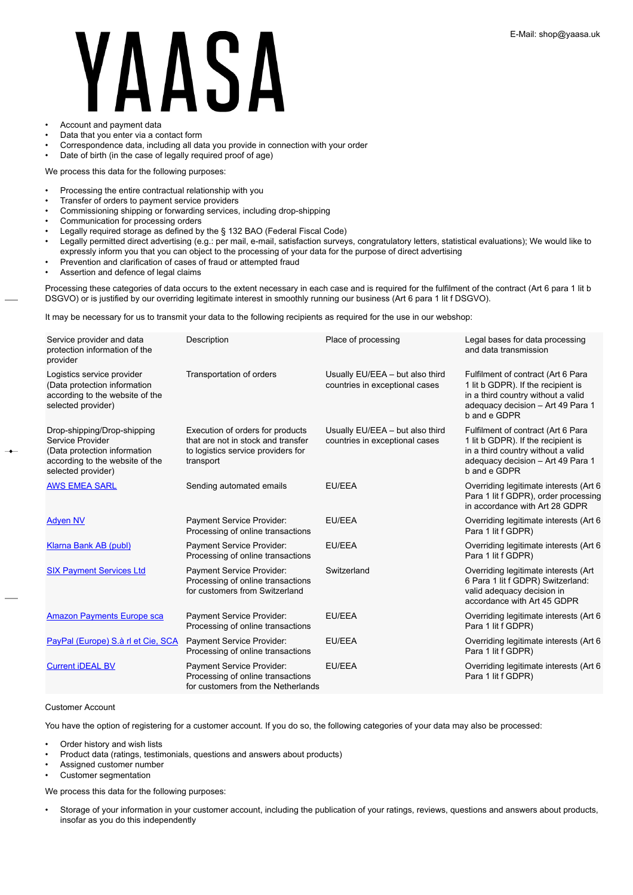# **ASI** • Account and payment data

- Data that you enter via a contact form
- Correspondence data, including all data you provide in connection with your order
- Date of birth (in the case of legally required proof of age)

We process this data for the following purposes:

- Processing the entire contractual relationship with you
- Transfer of orders to payment service providers
- Commissioning shipping or forwarding services, including drop-shipping
- Communication for processing orders
- Legally required storage as defined by the § 132 BAO (Federal Fiscal Code)
- Legally permitted direct advertising (e.g.: per mail, e-mail, satisfaction surveys, congratulatory letters, statistical evaluations); We would like to expressly inform you that you can object to the processing of your data for the purpose of direct advertising
- Prevention and clarification of cases of fraud or attempted fraud
- Assertion and defence of legal claims

Processing these categories of data occurs to the extent necessary in each case and is required for the fulfilment of the contract (Art 6 para 1 lit b DSGVO) or is justified by our overriding legitimate interest in smoothly running our business (Art 6 para 1 lit f DSGVO).

It may be necessary for us to transmit your data to the following recipients as required for the use in our webshop:

| Service provider and data<br>protection information of the<br>provider                                                                   | Description                                                                                                               | Place of processing                                               | Legal bases for data processing<br>and data transmission                                                                                                            |
|------------------------------------------------------------------------------------------------------------------------------------------|---------------------------------------------------------------------------------------------------------------------------|-------------------------------------------------------------------|---------------------------------------------------------------------------------------------------------------------------------------------------------------------|
| Logistics service provider<br>(Data protection information<br>according to the website of the<br>selected provider)                      | Transportation of orders                                                                                                  | Usually EU/EEA - but also third<br>countries in exceptional cases | Fulfilment of contract (Art 6 Para<br>1 lit b GDPR). If the recipient is<br>in a third country without a valid<br>adequacy decision - Art 49 Para 1<br>b and e GDPR |
| Drop-shipping/Drop-shipping<br>Service Provider<br>(Data protection information<br>according to the website of the<br>selected provider) | Execution of orders for products<br>that are not in stock and transfer<br>to logistics service providers for<br>transport | Usually EU/EEA - but also third<br>countries in exceptional cases | Fulfilment of contract (Art 6 Para<br>1 lit b GDPR). If the recipient is<br>in a third country without a valid<br>adequacy decision - Art 49 Para 1<br>b and e GDPR |
| <b>AWS EMEA SARL</b>                                                                                                                     | Sending automated emails                                                                                                  | EU/EEA                                                            | Overriding legitimate interests (Art 6<br>Para 1 lit f GDPR), order processing<br>in accordance with Art 28 GDPR                                                    |
| <b>Adven NV</b>                                                                                                                          | Payment Service Provider:<br>Processing of online transactions                                                            | EU/EEA                                                            | Overriding legitimate interests (Art 6)<br>Para 1 lit f GDPR)                                                                                                       |
| Klarna Bank AB (publ)                                                                                                                    | Payment Service Provider:<br>Processing of online transactions                                                            | EU/EEA                                                            | Overriding legitimate interests (Art 6<br>Para 1 lit f GDPR)                                                                                                        |
| <b>SIX Payment Services Ltd</b>                                                                                                          | Payment Service Provider:<br>Processing of online transactions<br>for customers from Switzerland                          | Switzerland                                                       | Overriding legitimate interests (Art<br>6 Para 1 lit f GDPR) Switzerland:<br>valid adequacy decision in<br>accordance with Art 45 GDPR                              |
| <b>Amazon Payments Europe sca</b>                                                                                                        | Payment Service Provider:<br>Processing of online transactions                                                            | EU/EEA                                                            | Overriding legitimate interests (Art 6)<br>Para 1 lit f GDPR)                                                                                                       |
| PayPal (Europe) S.à rl et Cie, SCA                                                                                                       | Payment Service Provider:<br>Processing of online transactions                                                            | EU/EEA                                                            | Overriding legitimate interests (Art 6<br>Para 1 lit f GDPR)                                                                                                        |
| <b>Current iDEAL BV</b>                                                                                                                  | Payment Service Provider:<br>Processing of online transactions<br>for customers from the Netherlands                      | EU/EEA                                                            | Overriding legitimate interests (Art 6<br>Para 1 lit f GDPR)                                                                                                        |

# Customer Account

You have the option of registering for a customer account. If you do so, the following categories of your data may also be processed:

- Order history and wish lists
- Product data (ratings, testimonials, questions and answers about products)
- Assigned customer number
- Customer segmentation

We process this data for the following purposes:

• Storage of your information in your customer account, including the publication of your ratings, reviews, questions and answers about products, insofar as you do this independently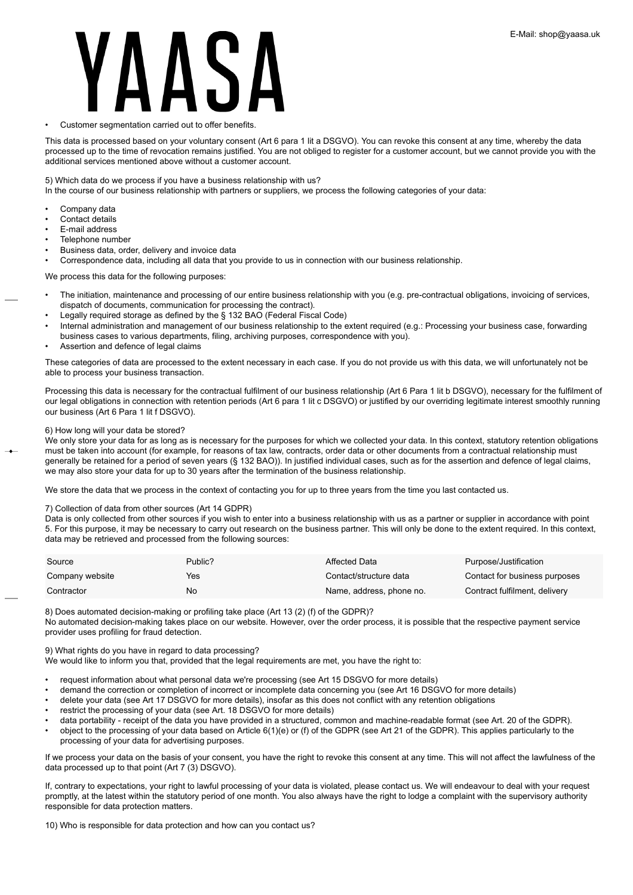# Customer segmentation carried out to offer benefits.

This data is processed based on your voluntary consent (Art 6 para 1 lit a DSGVO). You can revoke this consent at any time, whereby the data processed up to the time of revocation remains justified. You are not obliged to register for a customer account, but we cannot provide you with the additional services mentioned above without a customer account.

## 5) Which data do we process if you have a business relationship with us?

In the course of our business relationship with partners or suppliers, we process the following categories of your data:

- Company data
- Contact details
- E-mail address
- Telephone number
- Business data, order, delivery and invoice data

• Correspondence data, including all data that you provide to us in connection with our business relationship.

We process this data for the following purposes:

- The initiation, maintenance and processing of our entire business relationship with you (e.g. pre-contractual obligations, invoicing of services, dispatch of documents, communication for processing the contract).
- Legally required storage as defined by the § 132 BAO (Federal Fiscal Code)
- Internal administration and management of our business relationship to the extent required (e.g.: Processing your business case, forwarding business cases to various departments, filing, archiving purposes, correspondence with you).
- Assertion and defence of legal claims

These categories of data are processed to the extent necessary in each case. If you do not provide us with this data, we will unfortunately not be able to process your business transaction.

Processing this data is necessary for the contractual fulfilment of our business relationship (Art 6 Para 1 lit b DSGVO), necessary for the fulfilment of our legal obligations in connection with retention periods (Art 6 para 1 lit c DSGVO) or justified by our overriding legitimate interest smoothly running our business (Art 6 Para 1 lit f DSGVO).

## 6) How long will your data be stored?

We only store your data for as long as is necessary for the purposes for which we collected your data. In this context, statutory retention obligations must be taken into account (for example, for reasons of tax law, contracts, order data or other documents from a contractual relationship must generally be retained for a period of seven years (§ 132 BAO)). In justified individual cases, such as for the assertion and defence of legal claims, we may also store your data for up to 30 years after the termination of the business relationship.

We store the data that we process in the context of contacting you for up to three years from the time you last contacted us.

## 7) Collection of data from other sources (Art 14 GDPR)

Data is only collected from other sources if you wish to enter into a business relationship with us as a partner or supplier in accordance with point 5. For this purpose, it may be necessary to carry out research on the business partner. This will only be done to the extent required. In this context, data may be retrieved and processed from the following sources:

| Source          | Public? | Affected Data            | Purpose/Justification         |
|-----------------|---------|--------------------------|-------------------------------|
| Company website | Yes     | Contact/structure data   | Contact for business purposes |
| Contractor      | No      | Name, address, phone no. | Contract fulfilment, delivery |

8) Does automated decision-making or profiling take place (Art 13 (2) (f) of the GDPR)?

No automated decision-making takes place on our website. However, over the order process, it is possible that the respective payment service provider uses profiling for fraud detection.

## 9) What rights do you have in regard to data processing?

We would like to inform you that, provided that the legal requirements are met, you have the right to:

- request information about what personal data we're processing (see Art 15 DSGVO for more details)
- demand the correction or completion of incorrect or incomplete data concerning you (see Art 16 DSGVO for more details)
- delete your data (see Art 17 DSGVO for more details), insofar as this does not conflict with any retention obligations
- restrict the processing of your data (see Art. 18 DSGVO for more details)
- data portability receipt of the data you have provided in a structured, common and machine-readable format (see Art. 20 of the GDPR).
- object to the processing of your data based on Article 6(1)(e) or (f) of the GDPR (see Art 21 of the GDPR). This applies particularly to the processing of your data for advertising purposes.

If we process your data on the basis of your consent, you have the right to revoke this consent at any time. This will not affect the lawfulness of the data processed up to that point (Art 7 (3) DSGVO).

If, contrary to expectations, your right to lawful processing of your data is violated, please contact us. We will endeavour to deal with your request promptly, at the latest within the statutory period of one month. You also always have the right to lodge a complaint with the supervisory authority responsible for data protection matters.

10) Who is responsible for data protection and how can you contact us?